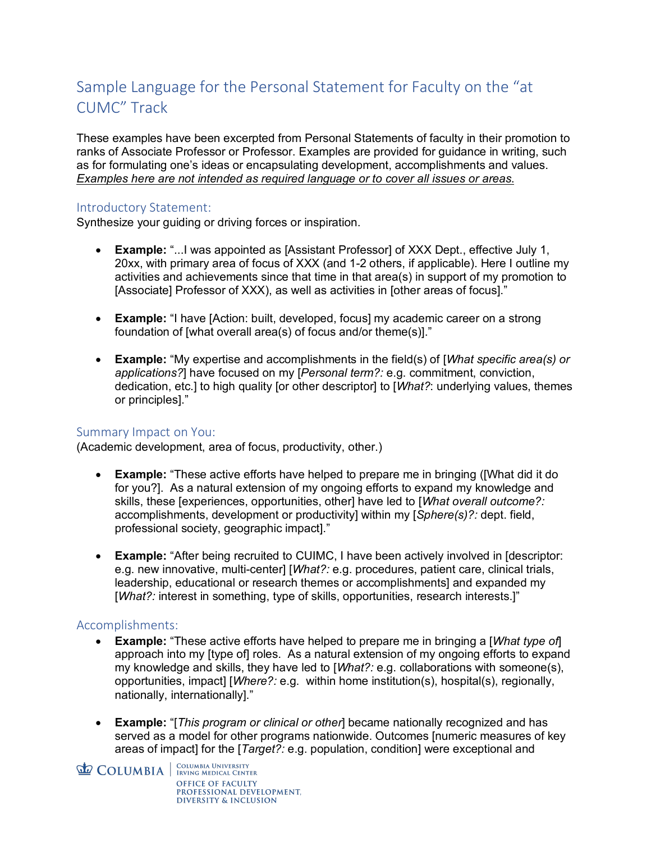# Sample Language for the Personal Statement for Faculty on the "at CUMC" Track

These examples have been excerpted from Personal Statements of faculty in their promotion to ranks of Associate Professor or Professor. Examples are provided for guidance in writing, such as for formulating one's ideas or encapsulating development, accomplishments and values. *Examples here are not intended as required language or to cover all issues or areas*.

### Introductory Statement:

Synthesize your guiding or driving forces or inspiration.

- **Example:** "...I was appointed as [Assistant Professor] of XXX Dept., effective July 1, 20xx, with primary area of focus of XXX (and 1-2 others, if applicable). Here I outline my activities and achievements since that time in that area(s) in support of my promotion to [Associate] Professor of XXX), as well as activities in [other areas of focus]."
- **Example:** "I have [Action: built, developed, focus] my academic career on a strong foundation of [what overall area(s) of focus and/or theme(s)]."
- **Example:** "My expertise and accomplishments in the field(s) of [*What specific area(s) or applications?*] have focused on my [*Personal term?:* e.g. commitment, conviction, dedication, etc.] to high quality [or other descriptor] to [*What?*: underlying values, themes or principles]."

### Summary Impact on You:

(Academic development, area of focus, productivity, other.)

- **Example:** "These active efforts have helped to prepare me in bringing ([What did it do for you?]. As a natural extension of my ongoing efforts to expand my knowledge and skills, these [experiences, opportunities, other] have led to [*What overall outcome?:* accomplishments, development or productivity] within my [*Sphere(s)?:* dept. field, professional society, geographic impact]."
- **Example:** "After being recruited to CUIMC, I have been actively involved in [descriptor: e.g. new innovative, multi-center] [*What?:* e.g. procedures, patient care, clinical trials, leadership, educational or research themes or accomplishments] and expanded my [*What?:* interest in something, type of skills, opportunities, research interests.]"

### Accomplishments:

- **Example:** "These active efforts have helped to prepare me in bringing a [*What type of*] approach into my [type of] roles. As a natural extension of my ongoing efforts to expand my knowledge and skills, they have led to [*What?:* e.g. collaborations with someone(s), opportunities, impact] [*Where?:* e.g. within home institution(s), hospital(s), regionally, nationally, internationally]."
- **Example:** "[*This program or clinical or other*] became nationally recognized and has served as a model for other programs nationwide. Outcomes [numeric measures of key areas of impact] for the [*Target?:* e.g. population, condition] were exceptional and

**COLUMBIA** EQUUMBIA UNIVERSITY **OFFICE OF FACULTY** PROFESSIONAL DEVELOPMENT. **DIVERSITY & INCLUSION**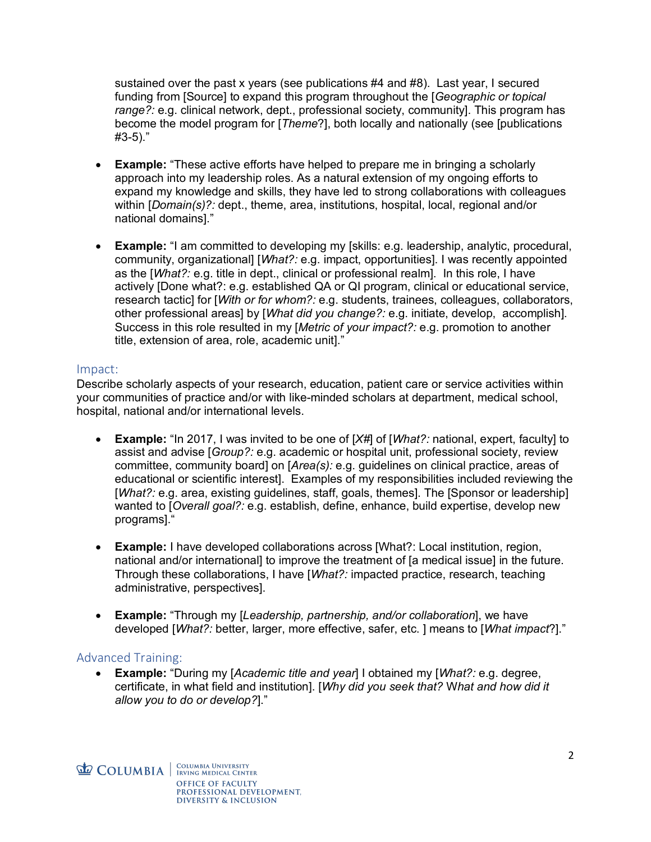sustained over the past x years (see publications #4 and #8). Last year, I secured funding from [Source] to expand this program throughout the [*Geographic or topical range?:* e.g. clinical network, dept., professional society, community]. This program has become the model program for [*Theme*?], both locally and nationally (see [publications #3-5)."

- **Example:** "These active efforts have helped to prepare me in bringing a scholarly approach into my leadership roles. As a natural extension of my ongoing efforts to expand my knowledge and skills, they have led to strong collaborations with colleagues within [*Domain(s)?:* dept., theme, area, institutions, hospital, local, regional and/or national domains]."
- **Example:** "I am committed to developing my [skills: e.g. leadership, analytic, procedural, community, organizational] [*What?:* e.g. impact, opportunities]. I was recently appointed as the [*What?:* e.g. title in dept., clinical or professional realm]. In this role, I have actively [Done what?: e.g. established QA or QI program, clinical or educational service, research tactic] for [*With or for whom?:* e.g. students, trainees, colleagues, collaborators, other professional areas] by [*What did you change?:* e.g. initiate, develop, accomplish]. Success in this role resulted in my [*Metric of your impact?:* e.g. promotion to another title, extension of area, role, academic unit]."

### Impact:

Describe scholarly aspects of your research, education, patient care or service activities within your communities of practice and/or with like-minded scholars at department, medical school, hospital, national and/or international levels.

- **Example:** "In 2017, I was invited to be one of [*X#*] of [*What?:* national, expert, faculty] to assist and advise [*Group?:* e.g. academic or hospital unit, professional society, review committee, community board] on [*Area(s):* e.g. guidelines on clinical practice, areas of educational or scientific interest]. Examples of my responsibilities included reviewing the [*What?:* e.g. area, existing guidelines, staff, goals, themes]. The [Sponsor or leadership] wanted to [*Overall goal?:* e.g. establish, define, enhance, build expertise, develop new programs]."
- **Example:** I have developed collaborations across [What?: Local institution, region, national and/or international] to improve the treatment of [a medical issue] in the future. Through these collaborations, I have [*What?:* impacted practice, research, teaching administrative, perspectives].
- **Example:** "Through my [*Leadership, partnership, and/or collaboration*], we have developed [*What?:* better, larger, more effective, safer, etc. ] means to [*What impact*?]."

# Advanced Training:

• **Example:** "During my [*Academic title and year*] I obtained my [*What?:* e.g. degree, certificate, in what field and institution]. [*Why did you seek that?* W*hat and how did it allow you to do or develop?*]."

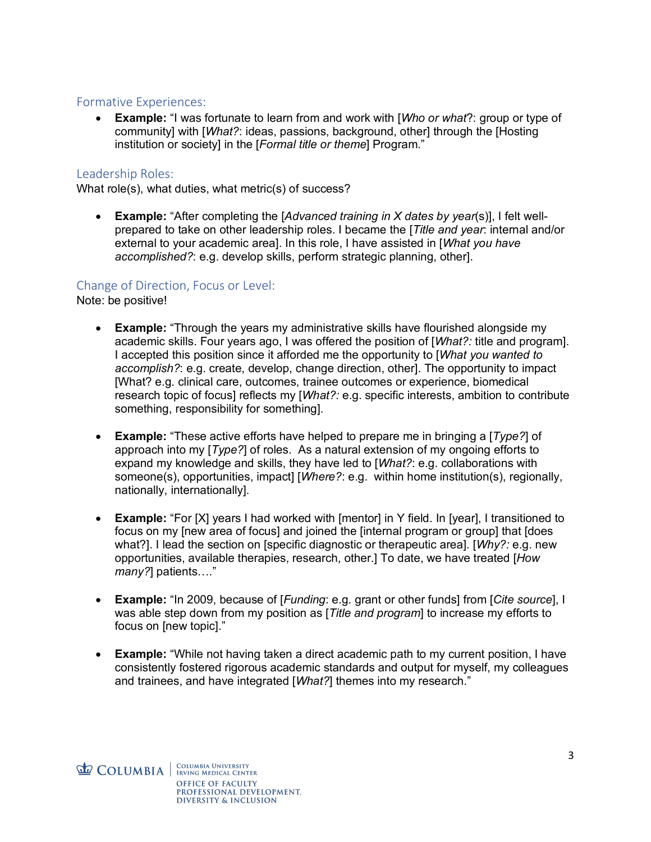## Formative Experiences:

• **Example:** "I was fortunate to learn from and work with [*Who or what*?: group or type of community] with [*What?*: ideas, passions, background, other] through the [Hosting institution or society] in the [*Formal title or theme*] Program."

# Leadership Roles:

What role(s), what duties, what metric(s) of success?

• **Example:** "After completing the [*Advanced training in X dates by year*(s)], I felt wellprepared to take on other leadership roles. I became the [*Title and year*: internal and/or external to your academic area]. In this role, I have assisted in [*What you have accomplished?*: e.g. develop skills, perform strategic planning, other].

## Change of Direction, Focus or Level:

Note: be positive!

- **Example:** "Through the years my administrative skills have flourished alongside my academic skills. Four years ago, I was offered the position of [*What?:* title and program]. I accepted this position since it afforded me the opportunity to [*What you wanted to accomplish?*: e.g. create, develop, change direction, other]. The opportunity to impact [What? e.g. clinical care, outcomes, trainee outcomes or experience, biomedical research topic of focus] reflects my [*What?:* e.g. specific interests, ambition to contribute something, responsibility for something].
- **Example:** "These active efforts have helped to prepare me in bringing a [*Type?*] of approach into my [*Type?*] of roles. As a natural extension of my ongoing efforts to expand my knowledge and skills, they have led to [*What?*: e.g. collaborations with someone(s), opportunities, impact] [*Where?*: e.g. within home institution(s), regionally, nationally, internationally].
- **Example:** "For [X] years I had worked with [mentor] in Y field. In [year], I transitioned to focus on my [new area of focus] and joined the [internal program or group] that [does what?]. I lead the section on [specific diagnostic or therapeutic area]. [*Why?:* e.g. new opportunities, available therapies, research, other.] To date, we have treated [*How many?*] patients…."
- **Example:** "In 2009, because of [*Funding*: e.g. grant or other funds] from [*Cite source*], I was able step down from my position as [*Title and program*] to increase my efforts to focus on [new topic]."
- **Example:** "While not having taken a direct academic path to my current position, I have consistently fostered rigorous academic standards and output for myself, my colleagues and trainees, and have integrated [*What?*] themes into my research."

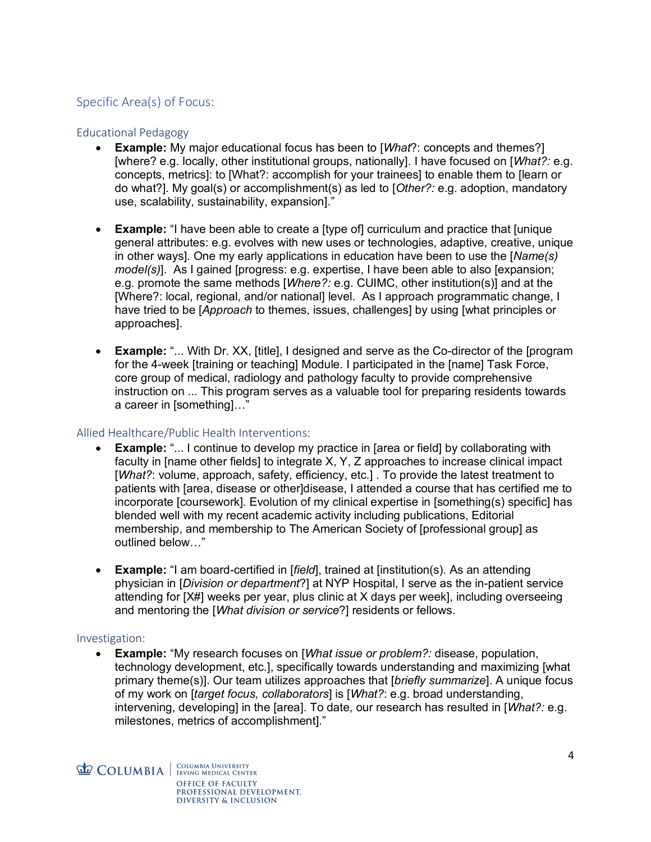# Specific Area(s) of Focus:

### Educational Pedagogy

- **Example:** My major educational focus has been to [*What*?: concepts and themes?] [where? e.g. locally, other institutional groups, nationally]. I have focused on [*What?:* e.g. concepts, metrics]: to [What?: accomplish for your trainees] to enable them to [learn or do what?]. My goal(s) or accomplishment(s) as led to [*Other?:* e.g. adoption, mandatory use, scalability, sustainability, expansion]."
- **Example:** "I have been able to create a [type of] curriculum and practice that [unique general attributes: e.g. evolves with new uses or technologies, adaptive, creative, unique in other ways]. One my early applications in education have been to use the [*Name(s) model(s)*]. As I gained [progress: e.g. expertise, I have been able to also [expansion; e.g. promote the same methods [*Where?:* e.g. CUIMC, other institution(s)] and at the [Where?: local, regional, and/or national] level. As I approach programmatic change, I have tried to be [*Approach* to themes, issues, challenges] by using [what principles or approaches].
- **Example:** "... With Dr. XX, [title], I designed and serve as the Co-director of the [program for the 4-week [training or teaching] Module. I participated in the [name] Task Force, core group of medical, radiology and pathology faculty to provide comprehensive instruction on ... This program serves as a valuable tool for preparing residents towards a career in [something]…"

# Allied Healthcare/Public Health Interventions:

- **Example:** "... I continue to develop my practice in [area or field] by collaborating with faculty in [name other fields] to integrate X, Y, Z approaches to increase clinical impact [*What?*: volume, approach, safety, efficiency, etc.] . To provide the latest treatment to patients with [area, disease or other]disease, I attended a course that has certified me to incorporate [coursework]. Evolution of my clinical expertise in [something(s) specific] has blended well with my recent academic activity including publications, Editorial membership, and membership to The American Society of [professional group] as outlined below…"
- **Example:** "I am board-certified in [*field*], trained at [institution(s). As an attending physician in [*Division or department*?] at NYP Hospital, I serve as the in-patient service attending for [X#] weeks per year, plus clinic at X days per week], including overseeing and mentoring the [*What division or service*?] residents or fellows.

### Investigation:

• **Example:** "My research focuses on [*What issue or problem?:* disease, population, technology development, etc.], specifically towards understanding and maximizing [what primary theme(s)]. Our team utilizes approaches that [*briefly summarize*]. A unique focus of my work on [*target focus, collaborators*] is [*What?*: e.g. broad understanding, intervening, developing] in the [area]. To date, our research has resulted in [*What?:* e.g. milestones, metrics of accomplishment]."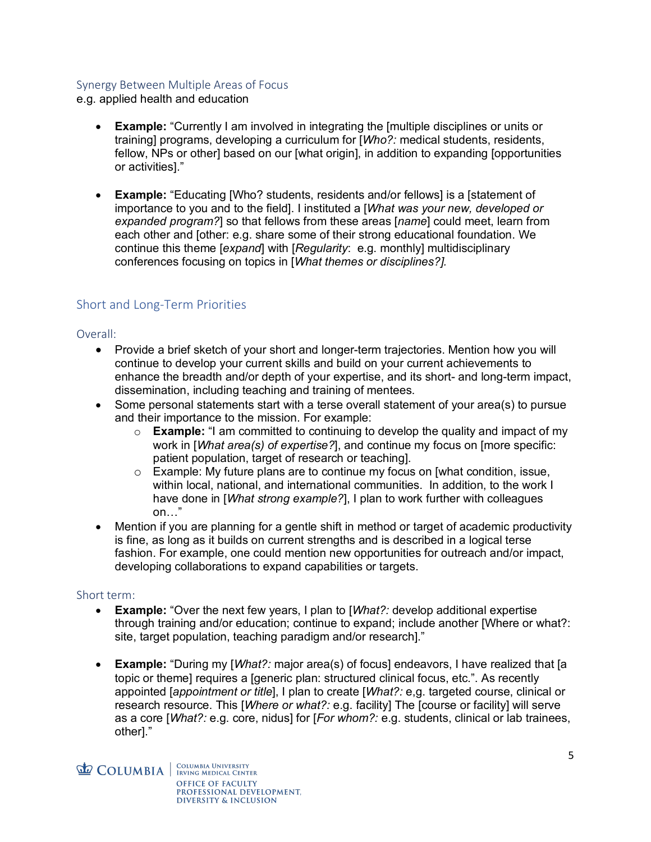## Synergy Between Multiple Areas of Focus

e.g. applied health and education

- **Example:** "Currently I am involved in integrating the [multiple disciplines or units or training] programs, developing a curriculum for [*Who?:* medical students, residents, fellow, NPs or other] based on our [what origin], in addition to expanding [opportunities or activities]."
- **Example:** "Educating [Who? students, residents and/or fellows] is a [statement of importance to you and to the field]. I instituted a [*What was your new, developed or expanded program?*] so that fellows from these areas [*name*] could meet, learn from each other and [other: e.g. share some of their strong educational foundation. We continue this theme [*expand*] with [*Regularity*: e.g. monthly] multidisciplinary conferences focusing on topics in [*What themes or disciplines?].*

# Short and Long-Term Priorities

#### Overall:

- Provide a brief sketch of your short and longer-term trajectories. Mention how you will continue to develop your current skills and build on your current achievements to enhance the breadth and/or depth of your expertise, and its short- and long-term impact, dissemination, including teaching and training of mentees.
- Some personal statements start with a terse overall statement of your area(s) to pursue and their importance to the mission. For example:
	- o **Example:** "I am committed to continuing to develop the quality and impact of my work in [*What area(s) of expertise?*], and continue my focus on [more specific: patient population, target of research or teaching].
	- o Example: My future plans are to continue my focus on [what condition, issue, within local, national, and international communities. In addition, to the work I have done in [*What strong example?*], I plan to work further with colleagues on…"
- Mention if you are planning for a gentle shift in method or target of academic productivity is fine, as long as it builds on current strengths and is described in a logical terse fashion. For example, one could mention new opportunities for outreach and/or impact, developing collaborations to expand capabilities or targets.

### Short term:

- **Example:** "Over the next few years, I plan to [*What?:* develop additional expertise through training and/or education; continue to expand; include another [Where or what?: site, target population, teaching paradigm and/or research]."
- **Example:** "During my [*What?:* major area(s) of focus] endeavors, I have realized that [a topic or theme] requires a [generic plan: structured clinical focus, etc.". As recently appointed [*appointment or title*], I plan to create [*What?:* e,g. targeted course, clinical or research resource. This [*Where or what?:* e.g. facility] The [course or facility] will serve as a core [*What?:* e.g. core, nidus] for [*For whom?:* e.g. students, clinical or lab trainees, other]."